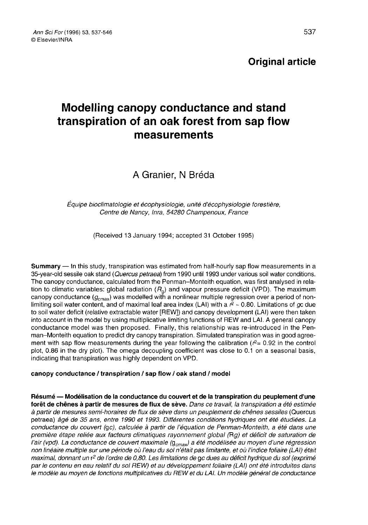## Original article

# Modelling canopy conductance and stand transpiration of an oak forest from sap flow measurements

## A Granier, N Bréda

#### Équipe bioclimatologie et écophysiologie, unité d'écophysiologie forestière, Centre de Nancy, Inra, 54280 Champenoux, France

(Received 13 January 1994; accepted 31 October 1995)

Summary — In this study, transpiration was estimated from half-hourly sap flow measurements in a 35-year-old sessile oak stand (Quercus petraea) from 1990 until 1993 under various soil water conditions. The canopy conductance, calculated from the Penman-Monteith equation, was first analysed in rela-The canopy conductance, calculated from the Penman-Monteith equation, was first analysed in relation to climatic variables: global radiation ( $R_g$ ) and vapour pressure deficit (VPD). The maximum canopy conductance ( $g_{cmax}$ canopy conductance ( $g_{\text{cmax}}$ ) was modelled with a nonlinear multiple regression over a period of non-<br>limiting soil water content, and of maximal leaf area index (LAI) with a r<sup>2</sup> ∼ 0.80. Limitations of gc due to soil water deficit (relative extractable water [REW]) and canopy development (LAI) were then taken into account in the model by using multiplicative limiting functions of REW and LAI. A general canopy conductance model was then proposed. Finally, this relationship was re-introduced in the Penman-Monteith equation to predict dry canopy transpiration. Simulated transpiration was in good agreement with sap flow measurements during the year following the calibration ( $r^2$  = 0.92 in the control plot, 0.86 in the dry plot). The omega decoupling coefficient was close to 0.1 on a seasonal basis, indicating that transpiration was highly dependent on VPD.

#### canopy conductance / transpiration / sap flow / oak stand / model

Résumé — Modélisation de la conductance du couvert et de la transpiration du peuplement d'une forêt de chênes à partir de mesures de flux de sève. Dans ce travail, la transpiration a été estimée à partir de mesures semi-horaires de flux de sève dans un peuplement de chênes sessiles (Quercus petraea) âgé de 35 ans, entre 1990 et 1993. Différentes conditions hydriques ont été étudiées. La conductance du couvert (gc), calculée à partir de l'équation de Penman-Monteith, a été dans une conductance du couvert (gc), calculée à partir de l'équation de Penman-Monteith, a été dans une<br>première étape reliée aux facteurs climatiques rayonnement global (Rg) et déficit de saturation de<br>l'air (vpd). La conductance maximal, donnant un r2 de l'ordre de 0,80. Les limitations de gc dues au déficit hydrique du sol (exprimé par le contenu en eau relatif du sol REW) et au développement foliaire (LAI) ont été introduites dans le modèle au moyen de fonctions multiplicatives du REW et du LAI. Un modèle général de conductance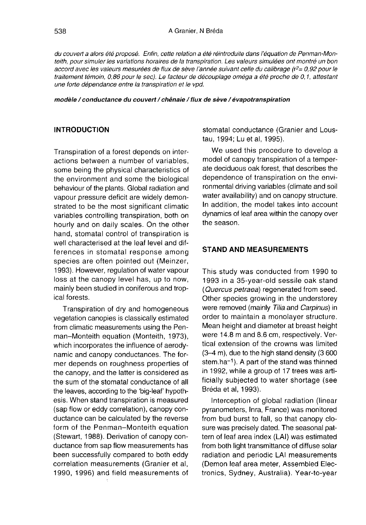du couvert a alors été proposé. Enfin, cette relation a été réintroduite dans l'équation de Penman-Monteith, pour simuler les variations horaires de la transpiration. Les valeurs simulées ont montré un bon accord avec les valeurs mesurées de flux de sève l'année suivant celle du calibrage (r<sup>2</sup>= 0,92 pour le traitement témoin, 0,86 pour le sec). Le facteur de découplage oméga a été proche de 0,1, attestant une forte dépendance entre la transpiration et le vpd.

#### modèle / conductance du couvert / chênaie / flux de sève / évapotranspiration

#### INTRODUCTION

Transpiration of a forest depends on interactions between a number of variables, some being the physical characteristics of the environment and some the biological behaviour of the plants. Global radiation and vapour pressure deficit are widely demonstrated to be the most significant climatic variables controlling transpiration, both on hourly and on daily scales. On the other hand, stomatal control of transpiration is well characterised at the leaf level and differences in stomatal response among species are often pointed out (Meinzer, 1993). However, regulation of water vapour loss at the canopy level has, up to now, mainly been studied in coniferous and tropical forests.

Transpiration of dry and homogeneous vegetation canopies is classically estimated from climatic measurements using the Penman-Monteith equation (Monteith, 1973), which incorporates the influence of aerodynamic and canopy conductances. The former depends on roughness properties of the canopy, and the latter is considered as the sum of the stomatal conductance of all the leaves, according to the 'big-leaf' hypothesis. When stand transpiration is measured (sap flow or eddy correlation), canopy conductance can be calculated by the reverse form of the Penman-Monteith equation (Stewart, 1988). Derivation of canopy conductance from sap flow measurements has been successfully compared to both eddy correlation measurements (Granier et al, 1990, 1996) and field measurements of stomatal conductance (Granier and Loustau, 1994; Lu et al, 1995).

We used this procedure to develop a model of canopy transpiration of a temperate deciduous oak forest, that describes the dependence of transpiration on the environmental driving variables (climate and soil water availability) and on canopy structure. In addition, the model takes into account dynamics of leaf area within the canopy over the season.

#### STAND AND MEASUREMENTS

This study was conducted from 1990 to 1993 in a 35-year-old sessile oak stand (Quercus petraea) regenerated from seed. Other species growing in the understorey were removed (mainly Tilia and Carpinus) in order to maintain a monolayer structure. Mean height and diameter at breast height were 14.8 m and 8.6 cm, respectively. Vertical extension of the crowns was limited (3-4 m), due to the high stand density (3 600 itical extension of the crowns was limited<br>(3–4 m), due to the high stand density (3 600<br>stem.ha<sup>-1</sup>). A part of the stand was thinned<br>in 1992, while a group of 17 trees was artiin 1992, while a group of 17 trees was artificially subjected to water shortage (see Bréda et al, 1993).

Interception of global radiation (linear pyranometers, Inra, France) was monitored from bud burst to fall, so that canopy closure was precisely dated. The seasonal pat tern of leaf area index (LAI) was estimated from both light transmittance of diffuse solar radiation and periodic LAI measurements (Demon leaf area meter, Assembled Electronics, Sydney, Australia). Year-to-year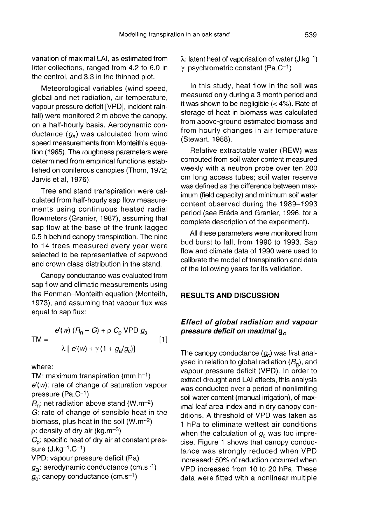variation of maximal LAI, as estimated from litter collections, ranged from 4.2 to 6.0 in the control, and 3.3 in the thinned plot.

Meteorological variables (wind speed, global and net radiation, air temperature, vapour pressure deficit [VPD], incident rainfall) were monitored 2 m above the canopy, on a half-hourly basis. Aerodynamic conductance  $(g_a)$  was calculated from wind speed measurements from Monteith's equation (1965). The roughness parameters were determined from empirical functions established on coniferous canopies (Thom, 1972; Jarvis et al, 1976).

Tree and stand transpiration were calculated from half-hourly sap flow measurements using continuous heated radial flowmeters (Granier, 1987), assuming that sap flow at the base of the trunk lagged 0.5 h behind canopy transpiration. The nine to 14 trees measured every year were selected to be representative of sapwood and crown class distribution in the stand.

Canopy conductance was evaluated from sap flow and climatic measurements using the Penman-Monteith equation (Monteith, 1973), and assuming that vapour flux was equal to sap flux:

$$
TM = \frac{e'(w) (R_n - G) + \rho C_p \text{ VPD } g_a}{\lambda [ e'(w) + \gamma (1 + g_a/g_c) ]}
$$
 [1]

where:

 $\lambda [e'(w) + \gamma (1 + g_{\alpha}/g_c)]$ <br>
where:<br>
TM: maximum transpiration (mm.h<sup>-1</sup>)<br>  $e'(w)$ : rate of change of saturation vapour where:<br>TM: maximum tra<br>*e*'(*w*): rate of char<br>pressure (Pa.C<sup>-1</sup>)<br>*R*<sub>n</sub>: net radiation a TM: maximum transpiration (mm.h<sup>-1</sup>)<br>e'(w): rate of change of saturation va<br>pressure (Pa.C<sup>-1</sup>)<br> $R_{\text{p}}$ : net radiation above stand (W.m<sup>-2</sup>)<br>*G*: rate of change of sensible heat in

G: rate of change of sensible heat in the pressure (Pa.C<sup>-1</sup>)<br> $R_n$ : net radiation above stand (W.m<sup>-2</sup>)<br>*G*: rate of change of sensible heat in<br>biomass, plus heat in the soil (W.m<sup>-2</sup>)<br> $\rho$ : density of dry air (kg.m<sup>-3</sup>)  $R_n$ : net radiation above stand (W.m<sup>-2</sup>)<br>*G*: rate of change of sensible heat in the<br>biomass, plus heat in the soil (W.m<sup>-2</sup>)<br>*p*: density of dry air (kg.m<sup>-3</sup>)<br>*C<sub>p</sub>*: specific heat of dry air at constant pres- $P_{\text{fn}}$ . Het radiation<br>G: rate of chang<br>biomass, plus he<br>p: density of dry<br> $C_p$ : specific heat<br>sure (J.kg<sup>-1</sup>.C<sup>-1</sup>)<br>VPD: vapour pre  $C_p$ : specific heat of dry air at constant pi<br>sure (J.kg<sup>-1</sup>.C<sup>-1</sup>)<br>VPD: vapour pressure deficit (Pa)<br> $g_a$ : aerodynamic conductance (cm.s<sup>-1</sup>)<br> $g_c$ : canopy conductance (cm.s<sup>-1</sup>)

VPD: vapour pressure deficit (Pa) sure (J.kg<sup>–1</sup>.C<sup>–1</sup>)<br>VPD: vapour pressure deficit (Pa<br>g<sub>a</sub>: aerodynamic conductance (c<br>g<sub>c</sub>: canopy conductance (cm.s<sup>–1</sup>)

*Modelling transpiration in an oak stand*<br>  $\cdot$  *cstimated from*  $\lambda$ : latent heat of vaporisation of water (J.kg<sup>-1</sup>) γ: psychrometric constant (Pa.C<sup>-1</sup>)

> In this study, heat flow in the soil was measured only during a 3 month period and it was shown to be negligible (< 4%). Rate of storage of heat in biomass was calculated from above-ground estimated biomass and from hourly changes in air temperature (Stewart, 1988).

> Relative extractable water (REW) was computed from soil water content measured weekly with a neutron probe over ten 200 cm long access tubes; soil water reserve was defined as the difference between maximum (field capacity) and minimum soil water content observed during the 1989-1993 period (see Bréda and Granier, 1996, for a complete description of the experiment).

> All these parameters were monitored from bud burst to fall, from 1990 to 1993. Sap flow and climate data of 1990 were used to calibrate the model of transpiration and data of the following years for its validation.

#### RESULTS AND DISCUSSION

## Effect of global radiation and vapour pressure deficit on maximal  $g_c$

The canopy conductance  $(g_c)$  was first analysed in relation to global radiation  $(R<sub>q</sub>)$ , and vapour pressure deficit (VPD). In order to extract drought and LAI effects, this analysis was conducted over a period of nonlimiting soil water content (manual irrigation), of maximal leaf area index and in dry canopy conditions. A threshold of VPD was taken as 1 hPa to eliminate wettest air conditions when the calculation of  $g_c$  was too imprecise. Figure 1 shows that canopy conductance was strongly reduced when VPD increased: 50% of reduction occurred when VPD increased from 10 to 20 hPa. These data were fitted with a nonlinear multiple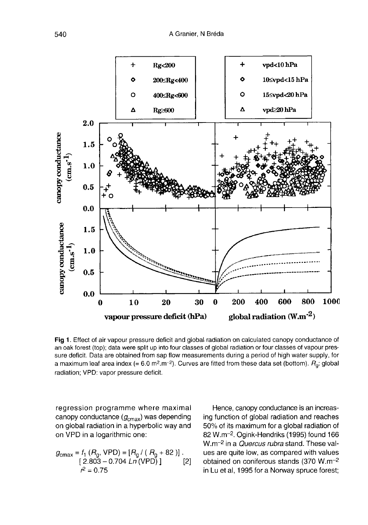

Fig 1. Effect of air vapour pressure deficit and global radiation on calculated canopy conductance of an oak forest (top); data were split up into four classes of global radiation or four classes of vapour pressure deficit. Data are obtained from sap flow measurements during a period of high water supply, for a maximum leaf area index (=  $6.0$  m<sup>2</sup>.m<sup>-2</sup>). Curves are fitted from these data set (bottom).  $R_a$ : global radiation; VPD: vapor pressure deficit.

regression programme where maximal canopy conductance  $(g_{\text{cmax}})$  was depending on global radiation in a hyperbolic way and on VPD in a logarithmic one:

$$
g_{\text{cmax}} = f_1 (R_g, \text{VPD}) = [R_g / (R_g + 82)]
$$
  
[2.803 - 0.704 Ln (VPD)] [2]  
 $r^2 = 0.75$ 

Hence, canopy conductance is an increasing function of global radiation and reaches 50% of its maximum for a global radiation of Fience, canopy conductance is armiticially<br>ting function of global radiation and reaches<br>50% of its maximum for a global radiation of<br>82 W.m<sup>-2</sup>. D.gink-Hendriks (1995) found 166<br>W.m<sup>-2</sup> in a *Quercus rubra* stand These va 82 W.m<sup>-2</sup>. Ogink-Hendriks (1995) found 166<br>W.m<sup>-2</sup> in a *Quercus rubra* stand. These values are quite low, as compared with values obtained on coniferous stands (370 W.m $-2$ in Lu et al, 1995 for a Norway spruce forest;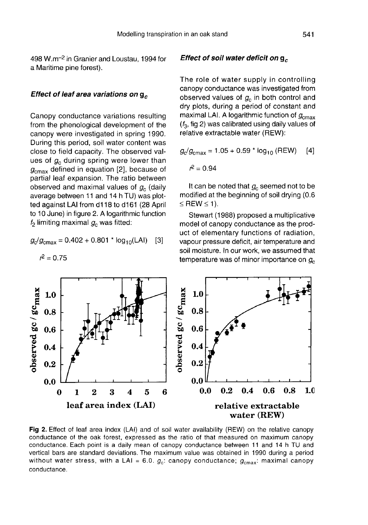498 W.m<sup>-2</sup> in Granier and Loustau, 1994 for a Maritime pine forest).

#### Effect of leaf area variations on  $g_c$

Canopy conductance variations resulting from the phenological development of the canopy were investigated in spring 1990. During this period, soil water content was close to field capacity. The observed values of  $g_c$  during spring were lower than  $g_{\text{cmax}}$  defined in equation [2], because of partial leaf expansion. The ratio between observed and maximal values of  $g_c$  (daily average between 11 and 14 h TU) was plotted against LAI from d118 to d161 (28 April to 10 June) in figure 2. A logarithmic function  $f_2$  limiting maximal  $g_c$  was fitted: average between 11 and 14 h TU) was plotted against LAI from d118 to d161 (28 April to 10 June) in figure 2. A logarithmic function

$$
g_{\rm c}/g_{\rm cmax} = 0.402 + 0.801 \cdot \log_{10}(\rm LAI) \quad [3]
$$

 $r^2 = 0.75$ 

 $1.0$ 

#### Effect of soil water deficit on  $g_c$

The role of water supply in controlling canopy conductance was investigated from observed values of  $g_c$  in both control and dry plots, during a period of constant and<br>maximal LAI. A logarithmic function of  $g_{\rm cmax}$ <br>(*f.* fig.2) was calibrated using daily values of maximal LAI. A logarithmic function of  $g<sub>cmax</sub>$  ( $f<sub>3</sub>$ , fig 2) was calibrated using daily values of relative extractable water (REW):

$$
g_{\rm c}/g_{\rm cmax} = 1.05 + 0.59 \times \log_{10} \text{(REW)} \quad [4]
$$

$$
r^2 = 0.94
$$

 $1.0$ 

It can be noted that  $g_c$  seemed not to be modified at the beginning of soil drying (0.6 ≤ REW ≤ 1).

Stewart (1988) proposed a multiplicative model of canopy conductance as the prod uct of elementary functions of radiation, vapour pressure deficit, air temperature and soil moisture. In our work, we assumed that temperature was of minor importance on  $g_c$ 



conductance of the oak forest, expressed as the ratio of that measured on maximum canopy conductance. Each point is a daily mean of canopy conductance between 11 and 14 h TU and vertical bars are standard deviations. The maximum value was obtained in 1990 during a period without water stress, with a LAI = 6.0.  $g_c$ : canopy conductance;  $g_{cmax}$ : maximal canopy conductance.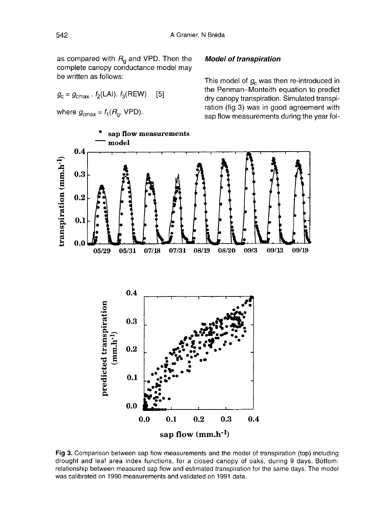as compared with  $R_g$  and VPD. Then the complete canopy conductance model may be written as follows:

$$
g_c = g_{cmax} \cdot f_2(LAI) \cdot f_3(REW)
$$
 [5]

where  $g_{\text{cmax}} = f_1(R_q, \text{VPD}).$ 

## Model of transpiration

This model of  $g_c$  was then re-introduced in the Penman-Monteith equation to predict dry canopy transpiration. Simulated transpiration (fig 3) was in good agreement with sap flow measurements during the year fol-

![](_page_5_Figure_6.jpeg)

Fig 3. Comparison between sap flow measurements and the model of transpiration (top) including drought and leaf area index functions, for a closed canopy of oaks, during 9 days. Bottom: relationship between measured sap flow and estimated transpiration for the same days. The model was calibrated on 1990 measurements and validated on 1991 data.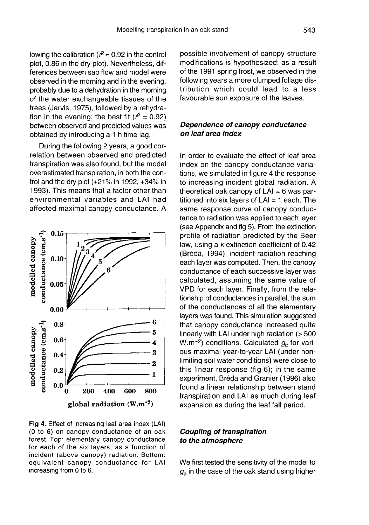lowing the calibration ( $r^2$  = 0.92 in the control plot, 0.86 in the dry plot). Nevertheless, differences between sap flow and model were observed in the morning and in the evening, probably due to a dehydration in the morning of the water exchangeable tissues of the trees (Jarvis, 1975), followed by a rehydration in the evening; the best fit ( $r^2 = 0.92$ ) between observed and predicted values was obtained by introducing a 1 h time lag.

During the following 2 years, a good correlation between observed and predicted transpiration was also found, but the model overestimated transpiration, in both the control and the dry plot  $(+21\%$  in 1992,  $+34\%$  in 1993). This means that a factor other than environmental variables and LAI had affected maximal canopy conductance. A

![](_page_6_Figure_3.jpeg)

Fig 4. Effect of increasing leaf area index (LAI) (0 to 6) on canopy conductance of an oak forest. Top: elementary canopy conductance for each of the six layers, as a function of incident (above canopy) radiation. Bottom: equivalent canopy conductance for LAI increasing from 0 to 6.

possible involvement of canopy structure modifications is hypothesized: as a result of the 1991 spring frost, we observed in the following years a more clumped foliage distribution which could lead to a less favourable sun exposure of the leaves.

## Dependence of canopy conductance on leaf area index

In order to evaluate the effect of leaf area index on the canopy conductance variations, we simulated in figure 4 the response to increasing incident global radiation. A theoretical oak canopy of  $LAI = 6$  was partitioned into six layers of LAI = 1 each. The same response curve of canopy conductance to radiation was applied to each layer (see Appendix and fig 5). From the extinction profile of radiation predicted by the Beer law, using a  $k$  extinction coefficient of 0.42 (Bréda, 1994), incident radiation reaching each layer was computed. Then, the canopy conductance of each successive layer was calculated, assuming the same value of VPD for each layer. Finally, from the relationship of conductances in parallel, the sum of the conductances of all the elementary layers was found. This simulation suggested that canopy conductance increased quite linearly with LAI under high radiation (> 500 W.m<sup>-2</sup>) conditions. Calculated  $g_c$  for various maximal year-to-year LAI (under nonlimiting soil water conditions) were close to this linear response (fig 6); in the same experiment, Bréda and Granier (1996) also found a linear relationship between stand transpiration and LAI as much during leaf expansion as during the leaf fall period.

### Coupling of transpiration to the atmosphere

We first tested the sensitivity of the model to  $g_a$  in the case of the oak stand using higher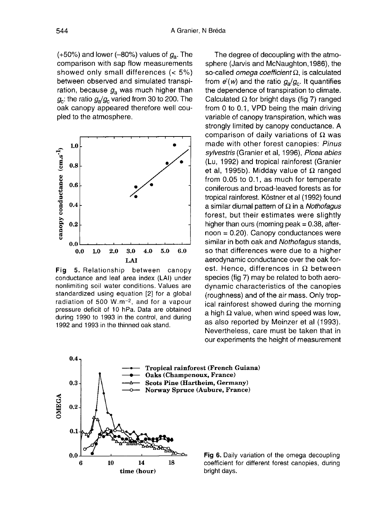$(+50%)$  and lower  $(-80%)$  values of  $g<sub>a</sub>$ . The comparison with sap flow measurements showed only small differences (< 5%) between observed and simulated transpiration, because  $q_a$  was much higher than  $g_c$ : the ratio  $g_a/g_c$  varied from 30 to 200. The oak canopy appeared therefore well coupled to the atmosphere.

![](_page_7_Figure_2.jpeg)

**Fig** 5. Relationship between canopy conductance and leaf area index (LAI) under nonlimiting soil water conditions. Values are standardized using equation [2] for a global radiation of 500 W.m<sup>-2</sup>, and for a vapour pressure deficit of 10 hPa. Data are obtained during 1990 to 1993 in the control, and during 1992 and 1993 in the thinned oak stand.

The degree of decoupling with the atmosphere (Jarvis and McNaughton,1986), the so-called *omega coefficient* Ω, is calculated sphere (Jarvis and McNaughton, 1986), the<br>so-called *omega coefficient*  $\Omega$ , is calculated<br>from  $e'(w)$  and the ratio  $g_a/g_c$ . It quantifies<br>the dependence of transpiration to climate. the dependence of transpiration to climate. Calculated  $\Omega$  for bright days (fig 7) ranged from 0 to 0.1, VPD being the main driving variable of canopy transpiration, which was strongly limited by canopy conductance. A comparison of daily variations of  $\Omega$  was made with other forest canopies: Pinus sylvestris (Granier et al, 1996), Picea abies (Lu, 1992) and tropical rainforest (Granier et al, 1995b). Midday value of  $Ω$  ranged from 0.05 to 0.1, as much for temperate coniferous and broad-leaved forests as for tropical rainforest. Köstner et al (1992) found a similar diurnal pattern of  $Ω$  in a *Nothofagus* forest, but their estimates were slightly higher than ours (morning peak  $= 0.38$ , after $noon = 0.20$ ). Canopy conductances were similar in both oak and Nothofagus stands, so that differences were due to a higher aerodynamic conductance over the oak forest. Hence, differences in  $\Omega$  between species (fig 7) may be related to both aerodynamic characteristics of the canopies (roughness) and of the air mass. Only tropa high  $\Omega$  value, when wind speed was low, as also reported by Meinzer et al (1993). Nevertheless, care must be taken that in our experiments the height of measurement

![](_page_7_Figure_5.jpeg)

Fig 6. Daily variation of the omega decoupling coefficient for different forest canopies, during bright days.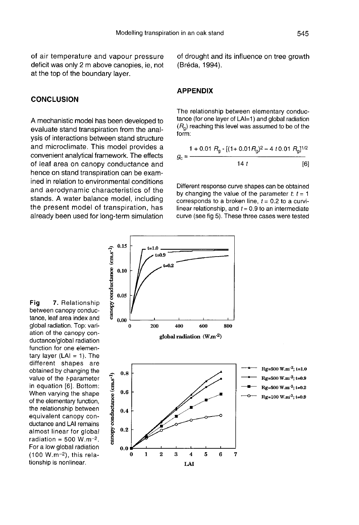of air temperature and vapour pressure deficit was only 2 m above canopies, ie, not at the top of the boundary layer.

## **CONCLUSION**

A mechanistic model has been developed to evaluate stand transpiration from the analysis of interactions between stand structure and microclimate. This model provides a convenient analytical framework. The effects of leaf area on canopy conductance and hence on stand transpiration can be examined in relation to environmental conditions and aerodynamic characteristics of the stands. A water balance model, including the present model of transpiration, has already been used for long-term simulation

of drought and its influence on tree growth (Bréda, 1994).

#### APPENDIX

The relationship between elementary conductance (for one layer of LAI=1) and global radiation  $(R<sub>0</sub>)$  reaching this level was assumed to be of the form:

$$
g_c = \frac{1 + 0.01 R_g - [(1 + 0.01 R_g)^2 - 4 t 0.01 R_g]^{1/2}}{14 t}
$$
 [6]

Different response curve shapes can be obtained by changing the value of the parameter  $t, t = 1$ corresponds to a broken line,  $t = 0.2$  to a curvilinear relationship, and  $t = 0.9$  to an intermediate curve (see fig 5). These three cases were tested

Fig 7. Relationship between canopy conductance, leaf area index and global radiation. Top: variation of the canopy conductance/global radiation function for one elementary layer  $(LAI = 1)$ . The different shapes are obtained by changing the value of the t-parameter in equation [6]. Bottom: When varying the shape of the elementary function. the relationship between equivalent canopy conductance and LAI remains almost linear for global radiation = 500 W.m<sup>-2</sup>. For a low global radiation  $(100 W.m^{-2})$ , this relationship is nonlinear.

![](_page_8_Figure_10.jpeg)